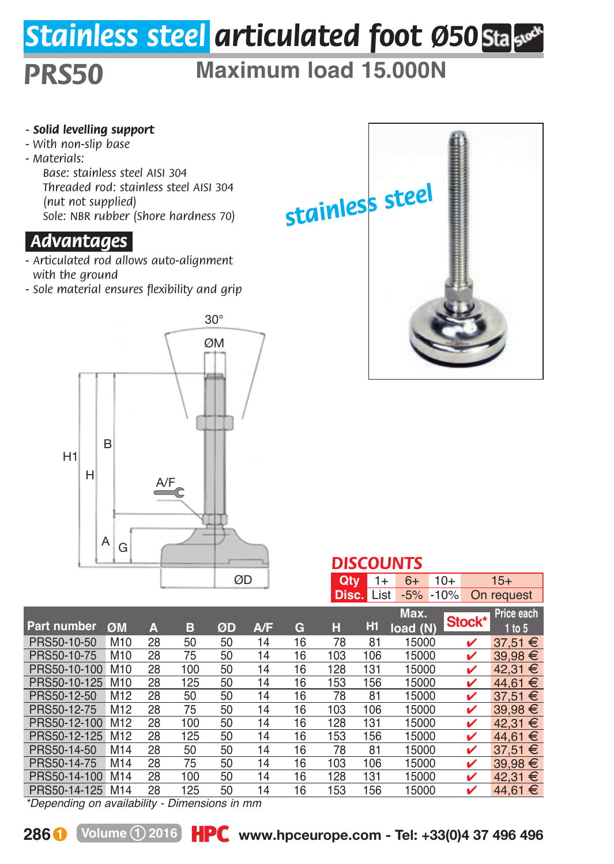## *Stainless steel articulated foot Ø50*

## *PRS50* **Maximum load 15.000N**

- *Solid levelling support*
- *With non-slip base*
- *Materials:*

*Base: stainless steel AISI 304 Threaded rod: stainless steel AISI 304 (nut not supplied) Sole: NBR rubber (Shore hardness 70)* 

## *.Advantages.*

- *Articulated rod allows auto-alignment with the ground*
- *Sole material ensures flexibility and grip*





|                                                                                                                                                                                                                                        | ◡<br><b>DISCOUNTS</b> |    |     |    |     |    |            |                                   |               |            |             |
|----------------------------------------------------------------------------------------------------------------------------------------------------------------------------------------------------------------------------------------|-----------------------|----|-----|----|-----|----|------------|-----------------------------------|---------------|------------|-------------|
|                                                                                                                                                                                                                                        |                       |    |     |    | ØD  |    | <b>Qty</b> | 1+                                | $6+$<br>$10+$ |            | $15+$       |
|                                                                                                                                                                                                                                        |                       |    |     |    |     |    |            | <b>Disc.</b> List<br>$-5\% -10\%$ |               | On request |             |
|                                                                                                                                                                                                                                        |                       |    |     |    |     |    |            |                                   | Max.          | Stock*     | Price each  |
| Part number                                                                                                                                                                                                                            | ØM                    | А  | в   | ØD | A/F | G  | н          | Hi                                | load(N)       |            | 1 to 5      |
| PRS50-10-50                                                                                                                                                                                                                            | M <sub>10</sub>       | 28 | 50  | 50 | 14  | 16 | 78         | 81                                | 15000         | ✓          | 37.51 €     |
| PRS50-10-75                                                                                                                                                                                                                            | M10                   | 28 | 75  | 50 | 14  | 16 | 103        | 106                               | 15000         | ✓          | $39.98 \t∈$ |
| PRS50-10-100                                                                                                                                                                                                                           | M <sub>10</sub>       | 28 | 100 | 50 | 14  | 16 | 128        | 131                               | 15000         | ✓          | 42.31 €     |
| PRS50-10-125                                                                                                                                                                                                                           | M10                   | 28 | 125 | 50 | 14  | 16 | 153        | 156                               | 15000         | ✓          | 44.61 €     |
| PRS50-12-50                                                                                                                                                                                                                            | M <sub>12</sub>       | 28 | 50  | 50 | 14  | 16 | 78         | 81                                | 15000         | ✓          | 37,51 €     |
| PRS50-12-75                                                                                                                                                                                                                            | M <sub>12</sub>       | 28 | 75  | 50 | 14  | 16 | 103        | 106                               | 15000         | ✓          | 39.98 €     |
| PRS50-12-100                                                                                                                                                                                                                           | M <sub>12</sub>       | 28 | 100 | 50 | 14  | 16 | 128        | 131                               | 15000         | ✓          | 42.31 €     |
| PRS50-12-125                                                                                                                                                                                                                           | M <sub>12</sub>       | 28 | 125 | 50 | 14  | 16 | 153        | 156                               | 15000         | ✓          | 44.61 €     |
| PRS50-14-50                                                                                                                                                                                                                            | M14                   | 28 | 50  | 50 | 14  | 16 | 78         | 81                                | 15000         | ✓          | 37,51 €     |
| PRS50-14-75                                                                                                                                                                                                                            | M14                   | 28 | 75  | 50 | 14  | 16 | 103        | 106                               | 15000         | ✓          | $39.98 \t∈$ |
| PRS50-14-100                                                                                                                                                                                                                           | M14                   | 28 | 100 | 50 | 14  | 16 | 128        | 131                               | 15000         | ✓          | 42.31 €     |
| PRS50-14-125                                                                                                                                                                                                                           | M14                   | 28 | 125 | 50 | 14  | 16 | 153        | 156                               | 15000         | v          | 44.61 €     |
| $\frac{1}{2}$ . The contract of the contract of the contract of the contract of the contract of the contract of the contract of the contract of the contract of the contract of the contract of the contract of the contract of t<br>. |                       |    |     |    |     |    |            |                                   |               |            |             |

*\*Depending on availability - Dimensions in mm*